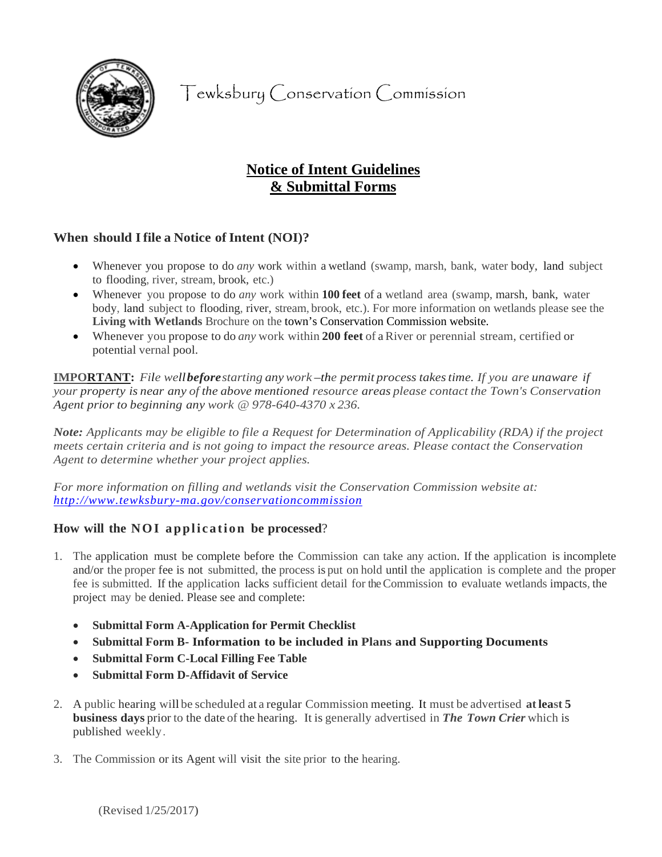

Tewksbury Conservation Commission

# **Notice of Intent Guidelines & Submittal Forms**

## **When** should I file a Notice of Intent (NOI)?

- Whenever you propose to do *any* work within a wetland (swamp, marsh, bank, water body, land subject to flooding, river, stream, brook, etc.)
- Whenever you propose to do *any* work within **100 feet** of a wetland area (swamp, marsh, bank, water body, land subject to flooding, river, stream, brook, etc.). For more information on wetlands please see the **Living with Wetlands** Brochure on the town's Conservation Commission website.
- Whenever you propose to do *any* work within **200 feet** of a River or perennial stream, certified or potential vernal pool.

**IMPORTANT:** *File wellbeforestarting anywork –the permit process takestime. If you are unaware if your property is near any of the above mentioned resource areas please contact the Town's Conservation Agent prior to beginning any work @ 978-640-4370 x 236.* 

*Note: Applicants may be eligible to file a Request for Determination of Applicability (RDA) if the project meets certain criteria and is not going to impact the resource areas. Please contact the Conservation Agent to determine whether your project applies.*

*For more information on filling and wetlands visit the Conservation Commission website at: http://www.tewksbury-ma.gov/conservationcommission*

## **How will the NOI application be processed**?

- 1. The application must be complete before the Commission can take any action. If the application is incomplete and/or the proper fee is not submitted, the process is put on hold until the application is complete and the proper fee is submitted. If the application lacks sufficient detail for the Commission to evaluate wetlands impacts, the project may be denied. Please see and complete:
	- **Submittal Form A-Application for Permit Checklist**
	- **Submittal Form B- Information to be included in Plans and Supporting Documents**
	- **Submittal Form C-Local Filling Fee Table**
	- **Submittal Form D-Affidavit of Service**
- 2. A public hearing will be scheduled at a regular Commission meeting. It must be advertised **atleast 5 business days** prior to the date of the hearing. It is generally advertised in *The Town Crier* which is published weekly.
- 3. The Commission or its Agent will visit the site prior to the hearing.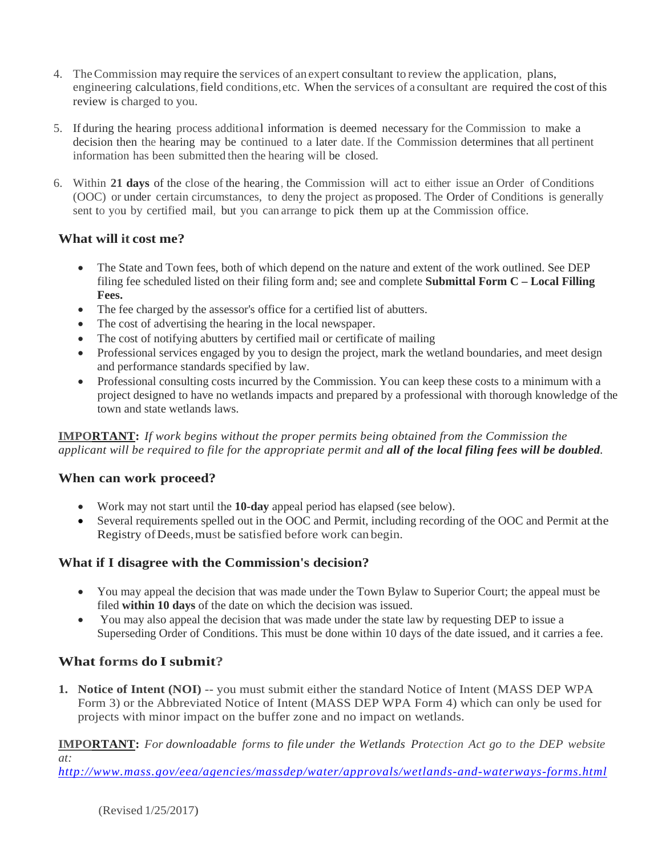- 4. TheCommission may require the services of an expert consultant to review the application, plans, engineering calculations,field conditions,etc. When the services of a consultant are required the cost of this review is charged to you.
- 5. If during the hearing process additional information is deemed necessary for the Commission to make a decision then the hearing may be continued to a later date. If the Commission determines that all pertinent information has been submitted then the hearing will be closed.
- 6. Within **21 days** of the close of the hearing, the Commission will act to either issue an Order of Conditions (OOC) or under certain circumstances, to deny the project as proposed. The Order of Conditions is generally sent to you by certified mail, but you can arrange to pick them up at the Commission office.

## **What will it cost me?**

- The State and Town fees, both of which depend on the nature and extent of the work outlined. See DEP filing fee scheduled listed on their filing form and; see and complete **Submittal Form C – Local Filling Fees.**
- The fee charged by the assessor's office for a certified list of abutters.
- The cost of advertising the hearing in the local newspaper.
- The cost of notifying abutters by certified mail or certificate of mailing
- Professional services engaged by you to design the project, mark the wetland boundaries, and meet design and performance standards specified by law.
- Professional consulting costs incurred by the Commission. You can keep these costs to a minimum with a project designed to have no wetlands impacts and prepared by a professional with thorough knowledge of the town and state wetlands laws.

**IMPORTANT:** *If work begins without the proper permits being obtained from the Commission the applicant will be required to file for the appropriate permit and all of the local filing fees will be doubled.*

### **When can work proceed?**

- Work may not start until the **10-day** appeal period has elapsed (see below).
- Several requirements spelled out in the OOC and Permit, including recording of the OOC and Permit at the Registry ofDeeds,must be satisfied before work can begin.

### **What if I disagree with the Commission's decision?**

- You may appeal the decision that was made under the Town Bylaw to Superior Court; the appeal must be filed **within 10 days** of the date on which the decision was issued.
- You may also appeal the decision that was made under the state law by requesting DEP to issue a Superseding Order of Conditions. This must be done within 10 days of the date issued, and it carries a fee.

## **What forms do I submit?**

**1. Notice of Intent (NOI)** -- you must submit either the standard Notice of Intent (MASS DEP WPA Form 3) or the Abbreviated Notice of Intent (MASS DEP WPA Form 4) which can only be used for projects with minor impact on the buffer zone and no impact on wetlands.

**IMPORTANT:** *For downloadable forms to file under the Wetlands Protection Act go to the DEP website at:* 

*<http://www.mass.gov/eea/agencies/massdep/water/approvals/wetlands-and-waterways-forms.html>*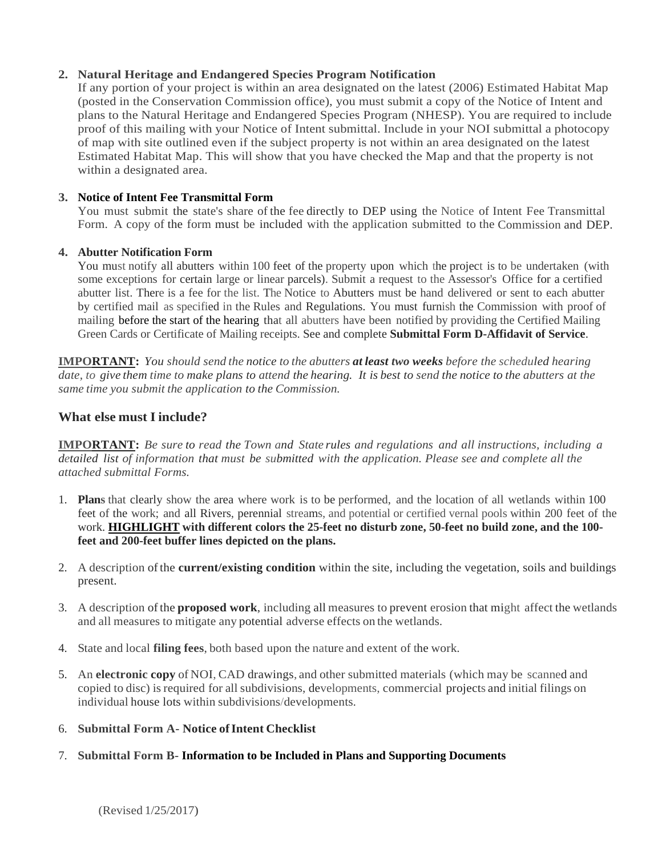## **2. Natural Heritage and Endangered Species Program Notification**

If any portion of your project is within an area designated on the latest (2006) Estimated Habitat Map (posted in the Conservation Commission office), you must submit a copy of the Notice of Intent and plans to the Natural Heritage and Endangered Species Program (NHESP). You are required to include proof of this mailing with your Notice of Intent submittal. Include in your NOI submittal a photocopy of map with site outlined even if the subject property is not within an area designated on the latest Estimated Habitat Map. This will show that you have checked the Map and that the property is not within a designated area.

## **3. Notice of Intent Fee Transmittal Form**

You must submit the state's share of the fee directly to DEP using the Notice of Intent Fee Transmittal Form. A copy of the form must be included with the application submitted to the Commission and DEP.

### **4. Abutter Notification Form**

You must notify all abutters within 100 feet of the property upon which the project is to be undertaken (with some exceptions for certain large or linear parcels). Submit a request to the Assessor's Office for a certified abutter list. There is a fee for the list. The Notice to Abutters must be hand delivered or sent to each abutter by certified mail as specified in the Rules and Regulations. You must furnish the Commission with proof of mailing before the start of the hearing that all abutters have been notified by providing the Certified Mailing Green Cards or Certificate of Mailing receipts. See and complete **Submittal Form D-Affidavit of Service**.

**IMPORTANT:** *You should send the notice to the abutters at least two weeks before the scheduled hearing* date, to give them time to make plans to attend the hearing. It is best to send the notice to the abutters at the *same time you submit the application to the Commission.*

## **What else must Iinclude?**

**IMPORTANT:** *Be sure to read the Town and State rules and regulations and all instructions, including a detailed list of information that must be submitted with the application. Please see and complete all the attached submittal Forms.*

- 1. **Plans** that clearly show the area where work is to be performed, and the location of all wetlands within 100 feet of the work; and all Rivers, perennial streams, and potential or certified vernal pools within 200 feet of the work. **HIGHLIGHT with different colors the 25-feet no disturb zone, 50-feet no build zone, and the 100 feet and 200-feet buffer lines depicted on the plans.**
- 2. A description ofthe **current/existing condition** within the site, including the vegetation, soils and buildings present.
- 3. A description ofthe **proposed work**, including all measures to prevent erosion that might affect the wetlands and all measures to mitigate any potential adverse effects on the wetlands.
- 4. State and local **filing fees**, both based upon the nature and extent of the work.
- 5. An **electronic copy** of NOI, CAD drawings, and other submitted materials (which may be scanned and copied to disc) is required for all subdivisions, developments, commercial projects and initial filings on individual house lots within subdivisions/developments.
- 6. **Submittal Form A- Notice ofIntent Checklist**

### 7. **Submittal Form B- Information to be Included in Plans and Supporting Documents**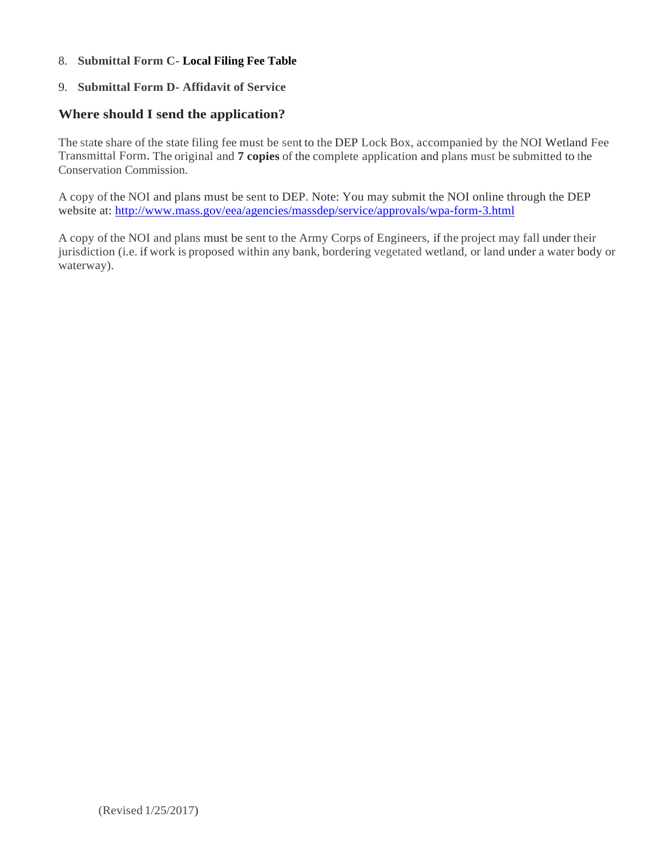#### 8. **Submittal Form C- Local Filing Fee Table**

#### 9. **Submittal Form D- Affidavit of Service**

### **Where should I send the application?**

The state share of the state filing fee must be sent to the DEP Lock Box, accompanied by the NOI Wetland Fee Transmittal Form. The original and **7 copies** of the complete application and plans must be submitted to the Conservation Commission.

A copy of the NOI and plans must be sent to DEP. Note: You may submit the NOI online through the DEP website at:<http://www.mass.gov/eea/agencies/massdep/service/approvals/wpa-form-3.html>

A copy of the NOI and plans must be sent to the Army Corps of Engineers, if the project may fall under their jurisdiction (i.e. if work is proposed within any bank, bordering vegetated wetland, or land under a water body or waterway).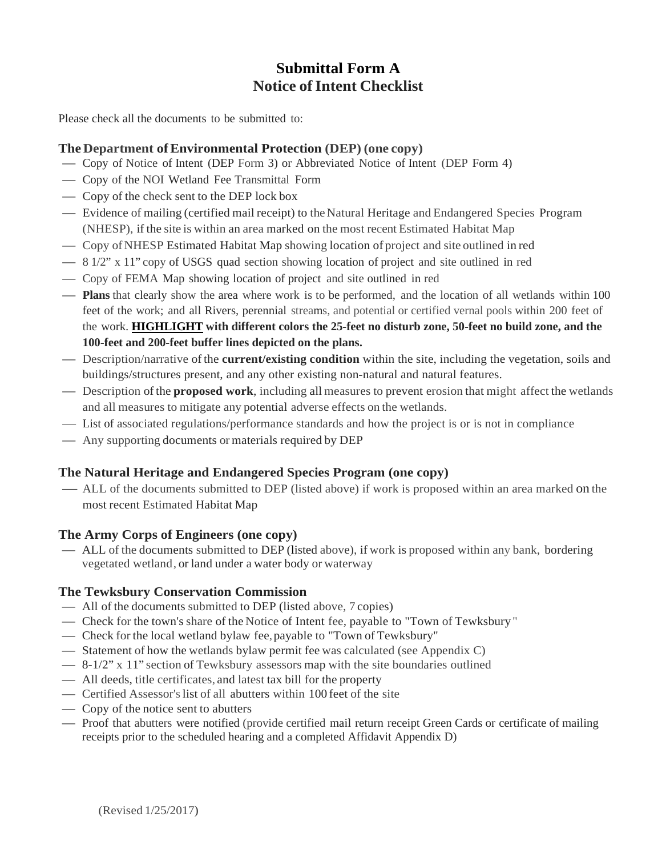# **Submittal Form A Notice of Intent Checklist**

Please check all the documents to be submitted to:

## **The Department ofEnvironmental Protection (DEP) (one copy)**

- Copy of Notice of Intent (DEP Form 3) or Abbreviated Notice of Intent (DEP Form 4)
- Copy of the NOI Wetland Fee Transmittal Form
- Copy of the check sent to the DEP lock box
- Evidence of mailing (certified mail receipt) to theNatural Heritage and Endangered Species Program (NHESP), if the site is within an area marked on the most recent Estimated Habitat Map
- Copy of NHESP Estimated Habitat Map showing location of project and site outlined in red
- $\frac{81}{2}$  x 11" copy of USGS quad section showing location of project and site outlined in red
- Copy of FEMA Map showing location of project and site outlined in red
- **Plans** that clearly show the area where work is to be performed, and the location of all wetlands within 100 feet of the work; and all Rivers, perennial streams, and potential or certified vernal pools within 200 feet of the work. **HIGHLIGHT with different colors the 25-feet no disturb zone, 50-feet no build zone, and the 100-feet and 200-feet buffer lines depicted on the plans.**
- Description/narrative ofthe **current/existing condition** within the site, including the vegetation, soils and buildings/structures present, and any other existing non-natural and natural features.
- Description ofthe **proposed work**, including all measures to prevent erosion that might affect the wetlands and all measures to mitigate any potential adverse effects on the wetlands.
- List of associated regulations/performance standards and how the project is or is not in compliance
- Any supporting documents or materials required by DEP

# **The Natural Heritage and Endangered Species Program (one copy)**

 ALL of the documents submitted to DEP (listed above) if work is proposed within an area marked on the most recent Estimated Habitat Map

## **The Army Corps of Engineers (one copy)**

 ALL of the documents submitted to DEP (listed above), if work is proposed within any bank, bordering vegetated wetland, or land under a water body or waterway

## **The Tewksbury Conservation Commission**

- All of the documents submitted to DEP (listed above, 7 copies)
- Check for the town's share of the Notice of Intent fee, payable to "Town of Tewksbury"
- Check for the local wetland bylaw fee, payable to "Town of Tewksbury"
- Statement of how the wetlands bylaw permit fee was calculated (see Appendix C)
- $\frac{8-1}{2}$  x 11" section of Tewksbury assessors map with the site boundaries outlined
- All deeds, title certificates, and latest tax bill for the property
- Certified Assessor'slist of all abutters within 100 feet of the site
- Copy of the notice sent to abutters
- Proof that abutters were notified (provide certified mail return receipt Green Cards or certificate of mailing receipts prior to the scheduled hearing and a completed Affidavit Appendix D)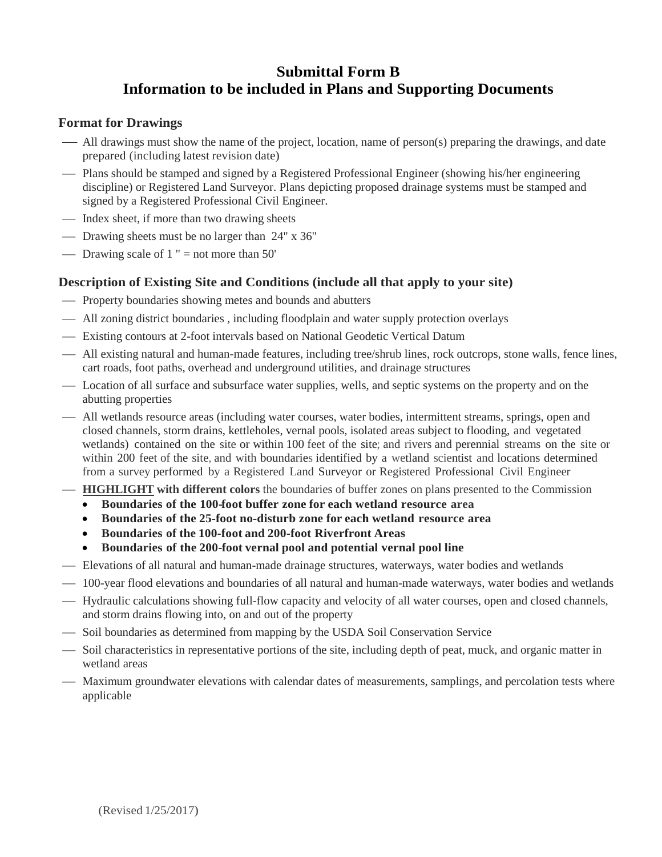# **Submittal Form B Information to be included in Plans and Supporting Documents**

## **Format for Drawings**

- All drawings must show the name of the project, location, name of person(s) preparing the drawings, and date prepared (including latest revision date)
- Plans should be stamped and signed by a Registered Professional Engineer (showing his/her engineering discipline) or Registered Land Surveyor. Plans depicting proposed drainage systems must be stamped and signed by a Registered Professional Civil Engineer.
- Index sheet, if more than two drawing sheets
- Drawing sheets must be no larger than 24" x 36"
- Drawing scale of  $1$  " = not more than 50"

## **Description of Existing Site and Conditions (include all that apply to your site)**

- Property boundaries showing metes and bounds and abutters
- All zoning district boundaries , including floodplain and water supply protection overlays
- Existing contours at 2-foot intervals based on National Geodetic Vertical Datum
- All existing natural and human-made features, including tree/shrub lines, rock outcrops, stone walls, fence lines, cart roads, foot paths, overhead and underground utilities, and drainage structures
- Location of all surface and subsurface water supplies, wells, and septic systems on the property and on the abutting properties
- All wetlands resource areas (including water courses, water bodies, intermittent streams, springs, open and closed channels, storm drains, kettleholes, vernal pools, isolated areas subject to flooding, and vegetated wetlands) contained on the site or within 100 feet of the site; and rivers and perennial streams on the site or within 200 feet of the site, and with boundaries identified by a wetland scientist and locations determined from a survey performed by a Registered Land Surveyor or Registered Professional Civil Engineer
- **HIGHLIGHT with different colors** the boundaries of buffer zones on plans presented to the Commission
	- **Boundaries of the 100-foot buffer zone for each wetland resource area**
	- **Boundaries of the 25-foot no-disturb zone for each wetland resource area**
	- **Boundaries of the 100-foot and 200-foot Riverfront Areas**
	- **Boundaries of the 200-foot vernal pool and potential vernal pool line**
- Elevations of all natural and human-made drainage structures, waterways, water bodies and wetlands
- $-100$ -year flood elevations and boundaries of all natural and human-made waterways, water bodies and wetlands
- Hydraulic calculations showing full-flow capacity and velocity of all water courses, open and closed channels, and storm drains flowing into, on and out of the property
- Soil boundaries as determined from mapping by the USDA Soil Conservation Service
- $\overline{\phantom{a}}$  Soil characteristics in representative portions of the site, including depth of peat, muck, and organic matter in wetland areas
- Maximum groundwater elevations with calendar dates of measurements, samplings, and percolation tests where applicable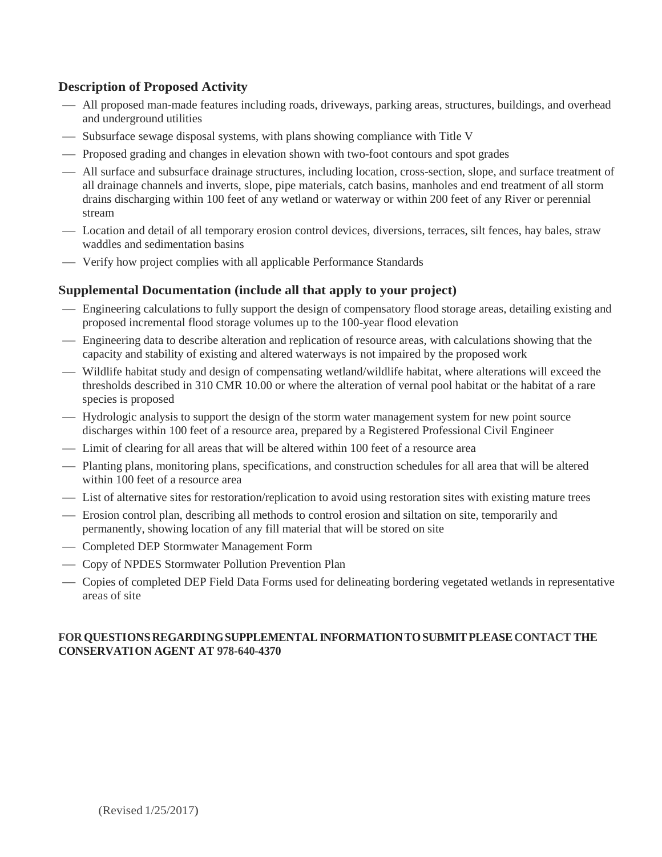## **Description of Proposed Activity**

- All proposed man-made features including roads, driveways, parking areas, structures, buildings, and overhead and underground utilities
- $-$  Subsurface sewage disposal systems, with plans showing compliance with Title V
- Proposed grading and changes in elevation shown with two-foot contours and spot grades
- All surface and subsurface drainage structures, including location, cross-section, slope, and surface treatment of all drainage channels and inverts, slope, pipe materials, catch basins, manholes and end treatment of all storm drains discharging within 100 feet of any wetland or waterway or within 200 feet of any River or perennial stream
- Location and detail of all temporary erosion control devices, diversions, terraces, silt fences, hay bales, straw waddles and sedimentation basins
- Verify how project complies with all applicable Performance Standards

## **Supplemental Documentation (include all that apply to your project)**

- Engineering calculations to fully support the design of compensatory flood storage areas, detailing existing and proposed incremental flood storage volumes up to the 100-year flood elevation
- Engineering data to describe alteration and replication of resource areas, with calculations showing that the capacity and stability of existing and altered waterways is not impaired by the proposed work
- Wildlife habitat study and design of compensating wetland/wildlife habitat, where alterations will exceed the thresholds described in 310 CMR 10.00 or where the alteration of vernal pool habitat or the habitat of a rare species is proposed
- Hydrologic analysis to support the design of the storm water management system for new point source discharges within 100 feet of a resource area, prepared by a Registered Professional Civil Engineer
- Limit of clearing for all areas that will be altered within 100 feet of a resource area
- Planting plans, monitoring plans, specifications, and construction schedules for all area that will be altered within 100 feet of a resource area
- List of alternative sites for restoration/replication to avoid using restoration sites with existing mature trees
- Erosion control plan, describing all methods to control erosion and siltation on site, temporarily and permanently, showing location of any fill material that will be stored on site
- Completed DEP Stormwater Management Form
- Copy of NPDES Stormwater Pollution Prevention Plan
- Copies of completed DEP Field Data Forms used for delineating bordering vegetated wetlands in representative areas of site

#### **FORQUESTIONSREGARDINGSUPPLEMENTAL INFORMATIONTOSUBMITPLEASE CONTACT THE CONSERVATION AGENT AT 978-640-4370**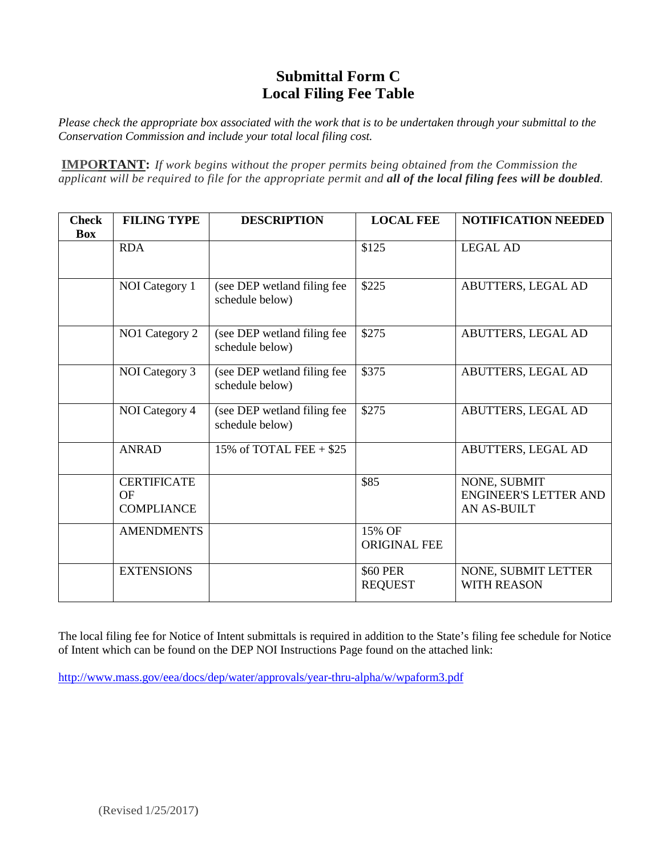# **Submittal Form C Local Filing Fee Table**

*Please check the appropriate box associated with the work that is to be undertaken through your submittal to the Conservation Commission and include your total local filing cost.*

**IMPORTANT:** *If work begins without the proper permits being obtained from the Commission the applicant will be required to file for the appropriate permit and all of the local filing fees will be doubled.*

| <b>Check</b><br><b>Box</b> | <b>FILING TYPE</b>                                   | <b>DESCRIPTION</b>                             | <b>LOCAL FEE</b>                  | <b>NOTIFICATION NEEDED</b>                                         |
|----------------------------|------------------------------------------------------|------------------------------------------------|-----------------------------------|--------------------------------------------------------------------|
|                            | <b>RDA</b>                                           |                                                | \$125                             | <b>LEGAL AD</b>                                                    |
|                            | NOI Category 1                                       | (see DEP wetland filing fee<br>schedule below) | \$225                             | ABUTTERS, LEGAL AD                                                 |
|                            | NO1 Category 2                                       | (see DEP wetland filing fee<br>schedule below) | \$275                             | ABUTTERS, LEGAL AD                                                 |
|                            | NOI Category 3                                       | (see DEP wetland filing fee<br>schedule below) | \$375                             | ABUTTERS, LEGAL AD                                                 |
|                            | NOI Category 4                                       | (see DEP wetland filing fee<br>schedule below) | \$275                             | ABUTTERS, LEGAL AD                                                 |
|                            | <b>ANRAD</b>                                         | 15% of TOTAL FEE $+$ \$25                      |                                   | ABUTTERS, LEGAL AD                                                 |
|                            | <b>CERTIFICATE</b><br><b>OF</b><br><b>COMPLIANCE</b> |                                                | \$85                              | NONE, SUBMIT<br><b>ENGINEER'S LETTER AND</b><br><b>AN AS-BUILT</b> |
|                            | <b>AMENDMENTS</b>                                    |                                                | 15% OF<br><b>ORIGINAL FEE</b>     |                                                                    |
|                            | <b>EXTENSIONS</b>                                    |                                                | <b>\$60 PER</b><br><b>REQUEST</b> | NONE, SUBMIT LETTER<br><b>WITH REASON</b>                          |

The local filing fee for Notice of Intent submittals is required in addition to the State's filing fee schedule for Notice of Intent which can be found on the DEP NOI Instructions Page found on the attached link:

<http://www.mass.gov/eea/docs/dep/water/approvals/year-thru-alpha/w/wpaform3.pdf>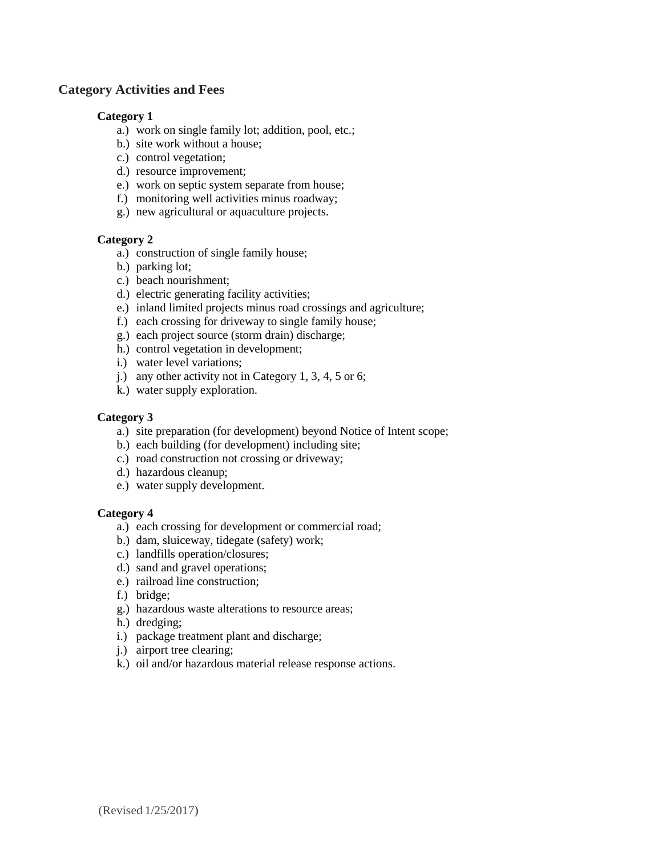### **Category Activities and Fees**

#### **Category 1**

- a.) work on single family lot; addition, pool, etc.;
- b.) site work without a house;
- c.) control vegetation;
- d.) resource improvement;
- e.) work on septic system separate from house;
- f.) monitoring well activities minus roadway;
- g.) new agricultural or aquaculture projects.

#### **Category 2**

- a.) construction of single family house;
- b.) parking lot;
- c.) beach nourishment;
- d.) electric generating facility activities;
- e.) inland limited projects minus road crossings and agriculture;
- f.) each crossing for driveway to single family house;
- g.) each project source (storm drain) discharge;
- h.) control vegetation in development;
- i.) water level variations;
- j.) any other activity not in Category 1, 3, 4, 5 or 6;
- k.) water supply exploration.

#### **Category 3**

- a.) site preparation (for development) beyond Notice of Intent scope;
- b.) each building (for development) including site;
- c.) road construction not crossing or driveway;
- d.) hazardous cleanup;
- e.) water supply development.

### **Category 4**

- a.) each crossing for development or commercial road;
- b.) dam, sluiceway, tidegate (safety) work;
- c.) landfills operation/closures;
- d.) sand and gravel operations;
- e.) railroad line construction;
- f.) bridge;
- g.) hazardous waste alterations to resource areas;
- h.) dredging;
- i.) package treatment plant and discharge;
- j.) airport tree clearing;
- k.) oil and/or hazardous material release response actions.